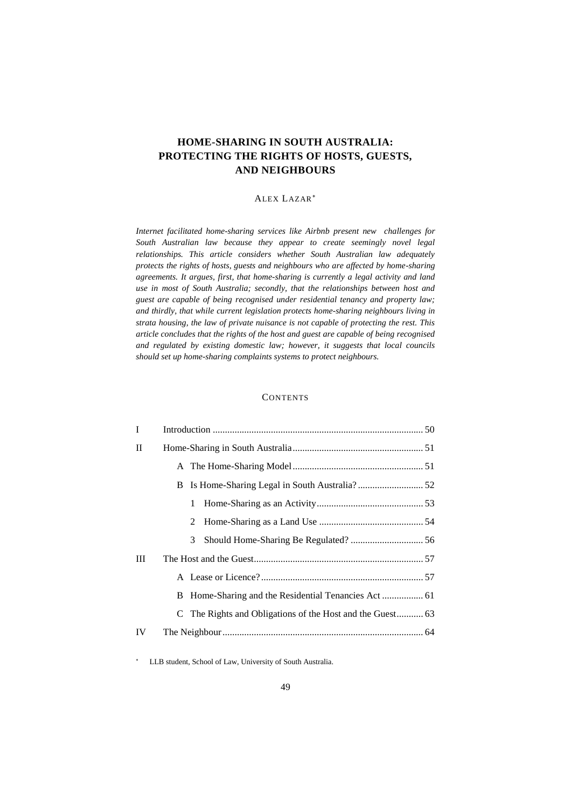# **HOME-SHARING IN SOUTH AUSTRALIA: PROTECTING THE RIGHTS OF HOSTS, GUESTS, AND NEIGHBOURS**

# ALEX LAZAR

*Internet facilitated home-sharing services like Airbnb present new challenges for South Australian law because they appear to create seemingly novel legal relationships. This article considers whether South Australian law adequately protects the rights of hosts, guests and neighbours who are affected by home-sharing agreements. It argues, first, that home-sharing is currently a legal activity and land use in most of South Australia; secondly, that the relationships between host and guest are capable of being recognised under residential tenancy and property law; and thirdly, that while current legislation protects home-sharing neighbours living in strata housing, the law of private nuisance is not capable of protecting the rest. This article concludes that the rights of the host and guest are capable of being recognised and regulated by existing domestic law; however, it suggests that local councils should set up home-sharing complaints systems to protect neighbours.*

# **CONTENTS**

| T  |   |  |
|----|---|--|
| П  |   |  |
|    |   |  |
|    |   |  |
|    | 1 |  |
|    | 2 |  |
|    | 3 |  |
| Ш  |   |  |
|    |   |  |
|    |   |  |
|    |   |  |
| IV |   |  |

LLB student, School of Law, University of South Australia.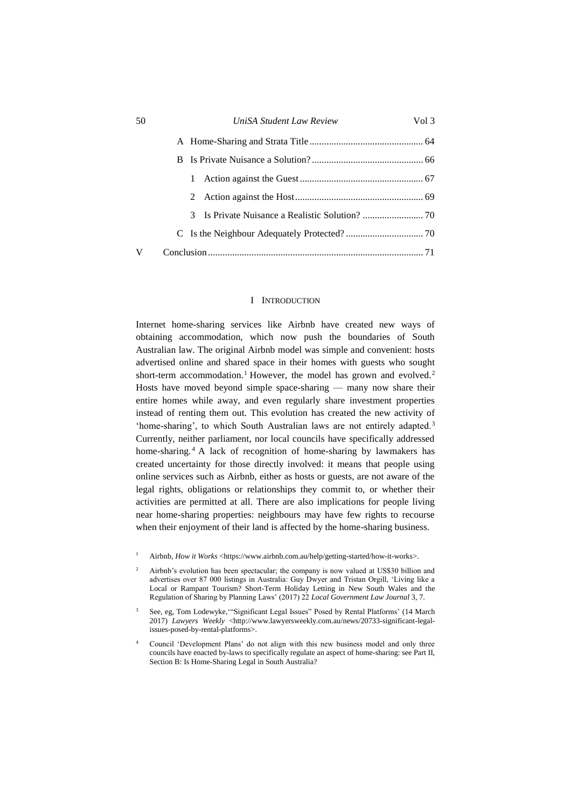| 50 |    | UniSA Student Law Review | Vol 3 |
|----|----|--------------------------|-------|
|    |    |                          |       |
|    | B. |                          |       |
|    |    |                          |       |
|    |    |                          |       |
|    |    |                          |       |
|    |    |                          |       |
| v  |    |                          |       |
|    |    |                          |       |

# <span id="page-1-2"></span><span id="page-1-1"></span>I INTRODUCTION

<span id="page-1-0"></span>Internet home-sharing services like Airbnb have created new ways of obtaining accommodation, which now push the boundaries of South Australian law. The original Airbnb model was simple and convenient: hosts advertised online and shared space in their homes with guests who sought short-term accommodation.<sup>1</sup> However, the model has grown and evolved.<sup>2</sup> Hosts have moved beyond simple space-sharing — many now share their entire homes while away, and even regularly share investment properties instead of renting them out. This evolution has created the new activity of 'home-sharing', to which South Australian laws are not entirely adapted.<sup>3</sup> Currently, neither parliament, nor local councils have specifically addressed home-sharing.<sup>4</sup> A lack of recognition of home-sharing by lawmakers has created uncertainty for those directly involved: it means that people using online services such as Airbnb, either as hosts or guests, are not aware of the legal rights, obligations or relationships they commit to, or whether their activities are permitted at all. There are also implications for people living near home-sharing properties: neighbours may have few rights to recourse when their enjoyment of their land is affected by the home-sharing business.

- Airbnb, *How it Works* <https://www.airbnb.com.au/help/getting-started/how-it-works>.
- <sup>2</sup> Airbnb's evolution has been spectacular; the company is now valued at US\$30 billion and advertises over 87 000 listings in Australia: Guy Dwyer and Tristan Orgill, 'Living like a Local or Rampant Tourism? Short-Term Holiday Letting in New South Wales and the Regulation of Sharing by Planning Laws' (2017) 22 *Local Government Law Journal* 3, 7.
- <sup>3</sup> See, eg, Tom Lodewyke, "Significant Legal Issues" Posed by Rental Platforms' (14 March 2017) *Lawyers Weekly* <http://www.lawyersweekly.com.au/news/20733-significant-legalissues-posed-by-rental-platforms>.
- <sup>4</sup> Council 'Development Plans' do not align with this new business model and only three councils have enacted by-laws to specifically regulate an aspect of home-sharing: see Part II, Section B: Is Home-Sharing Legal in South Australia?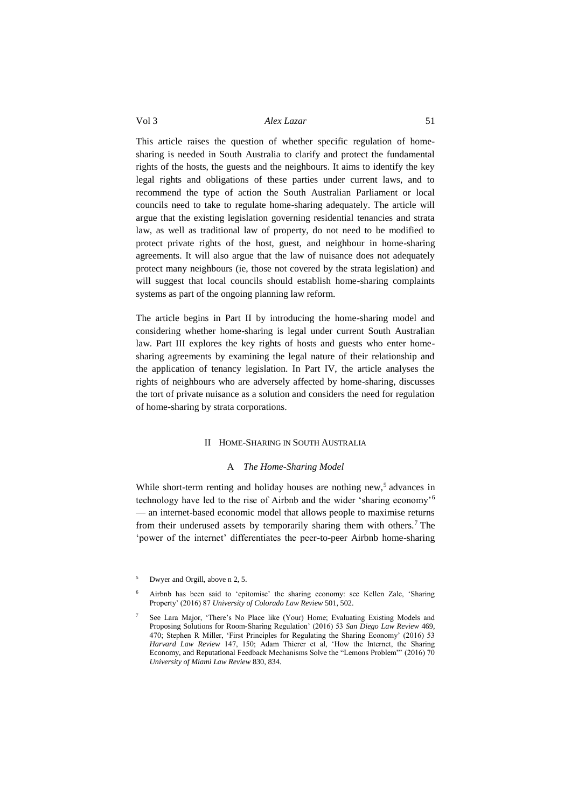This article raises the question of whether specific regulation of homesharing is needed in South Australia to clarify and protect the fundamental rights of the hosts, the guests and the neighbours. It aims to identify the key legal rights and obligations of these parties under current laws, and to recommend the type of action the South Australian Parliament or local councils need to take to regulate home-sharing adequately. The article will argue that the existing legislation governing residential tenancies and strata law, as well as traditional law of property, do not need to be modified to protect private rights of the host, guest, and neighbour in home-sharing agreements. It will also argue that the law of nuisance does not adequately protect many neighbours (ie, those not covered by the strata legislation) and will suggest that local councils should establish home-sharing complaints systems as part of the ongoing planning law reform.

The article begins in Part II by introducing the home-sharing model and considering whether home-sharing is legal under current South Australian law. Part III explores the key rights of hosts and guests who enter homesharing agreements by examining the legal nature of their relationship and the application of tenancy legislation. In Part IV, the article analyses the rights of neighbours who are adversely affected by home-sharing, discusses the tort of private nuisance as a solution and considers the need for regulation of home-sharing by strata corporations.

#### II HOME-SHARING IN SOUTH AUSTRALIA

### <span id="page-2-2"></span>A *The Home-Sharing Model*

<span id="page-2-1"></span><span id="page-2-0"></span>While short-term renting and holiday houses are nothing new,<sup>5</sup> advances in technology have led to the rise of Airbnb and the wider 'sharing economy'<sup>6</sup> — an internet-based economic model that allows people to maximise returns from their underused assets by temporarily sharing them with others.<sup>7</sup> The 'power of the internet' differentiates the peer-to-peer Airbnb home-sharing

<sup>5</sup> Dwyer and Orgill, above [n 2,](#page-1-1) 5.

<sup>6</sup> Airbnb has been said to 'epitomise' the sharing economy: see Kellen Zale, 'Sharing Property' (2016) 87 *University of Colorado Law Review* 501, 502.

<sup>7</sup> See Lara Major, 'There's No Place like (Your) Home; Evaluating Existing Models and Proposing Solutions for Room-Sharing Regulation' (2016) 53 *San Diego Law Review* 469, 470; Stephen R Miller, 'First Principles for Regulating the Sharing Economy' (2016) 53 *Harvard Law Review* 147, 150; Adam Thierer et al, 'How the Internet, the Sharing Economy, and Reputational Feedback Mechanisms Solve the "Lemons Problem"' (2016) 70 *University of Miami Law Review* 830, 834.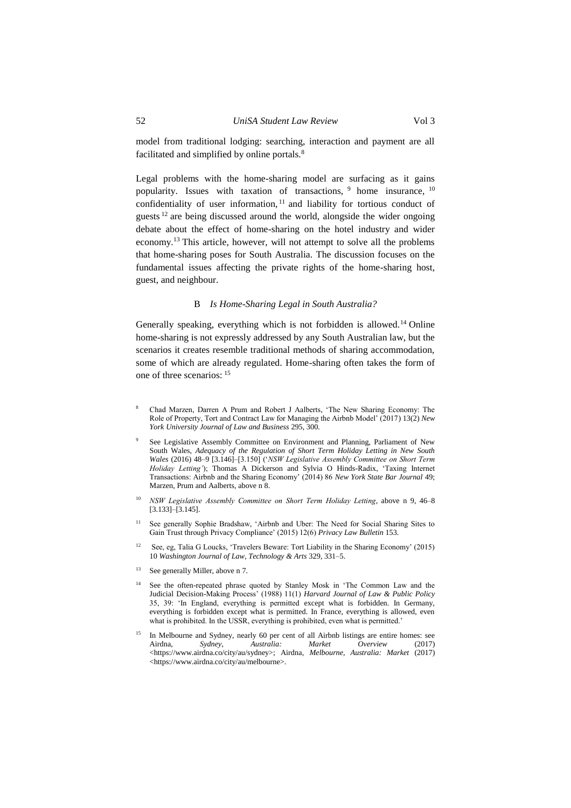<span id="page-3-1"></span>model from traditional lodging: searching, interaction and payment are all facilitated and simplified by online portals.<sup>8</sup>

Legal problems with the home-sharing model are surfacing as it gains popularity. Issues with taxation of transactions, <sup>9</sup> home insurance, <sup>10</sup> confidentiality of user information,<sup>11</sup> and liability for tortious conduct of guests  $12$  are being discussed around the world, alongside the wider ongoing debate about the effect of home-sharing on the hotel industry and wider economy.<sup>13</sup> This article, however, will not attempt to solve all the problems that home-sharing poses for South Australia. The discussion focuses on the fundamental issues affecting the private rights of the home-sharing host, guest, and neighbour.

### B *Is Home-Sharing Legal in South Australia?*

<span id="page-3-0"></span>Generally speaking, everything which is not forbidden is allowed.<sup>14</sup> Online home-sharing is not expressly addressed by any South Australian law, but the scenarios it creates resemble traditional methods of sharing accommodation, some of which are already regulated. Home-sharing often takes the form of one of three scenarios: <sup>15</sup>

- <sup>8</sup> Chad Marzen, Darren A Prum and Robert J Aalberts, 'The New Sharing Economy: The Role of Property, Tort and Contract Law for Managing the Airbnb Model' (2017) 13(2) *New York University Journal of Law and Business* 295, 300.
- <sup>9</sup> See Legislative Assembly Committee on Environment and Planning, Parliament of New South Wales, *Adequacy of the Regulation of Short Term Holiday Letting in New South Wales* (2016) 48–9 [3.146]–[3.150] ('*NSW Legislative Assembly Committee on Short Term Holiday Letting'*); Thomas A Dickerson and Sylvia O Hinds-Radix, 'Taxing Internet Transactions: Airbnb and the Sharing Economy' (2014) 86 *New York State Bar Journal* 49; Marzen, Prum and Aalberts, above [n 8.](#page-3-1)
- <sup>10</sup> *NSW Legislative Assembly Committee on Short Term Holiday Letting*, above n 9, 46–8 [3.133]–[3.145].
- See generally Sophie Bradshaw, 'Airbnb and Uber: The Need for Social Sharing Sites to Gain Trust through Privacy Compliance' (2015) 12(6) *Privacy Law Bulletin* 153.
- <sup>12</sup> See, eg, Talia G Loucks, 'Travelers Beware: Tort Liability in the Sharing Economy' (2015) 10 *Washington Journal of Law, Technology & Arts* 329, 331–5.
- <sup>13</sup> See generally Miller, above [n 7.](#page-2-2)
- <sup>14</sup> See the often-repeated phrase quoted by Stanley Mosk in 'The Common Law and the Judicial Decision-Making Process' (1988) 11(1) *Harvard Journal of Law & Public Policy* 35, 39: 'In England, everything is permitted except what is forbidden. In Germany, everything is forbidden except what is permitted. In France, everything is allowed, even what is prohibited. In the USSR, everything is prohibited, even what is permitted.'
- <sup>15</sup> In Melbourne and Sydney, nearly 60 per cent of all Airbnb listings are entire homes: see Airdna, *Sydney, Australia: Market Overview* (2017) <https://www.airdna.co/city/au/sydney>; Airdna, *Melbourne, Australia: Market* (2017) <https://www.airdna.co/city/au/melbourne>.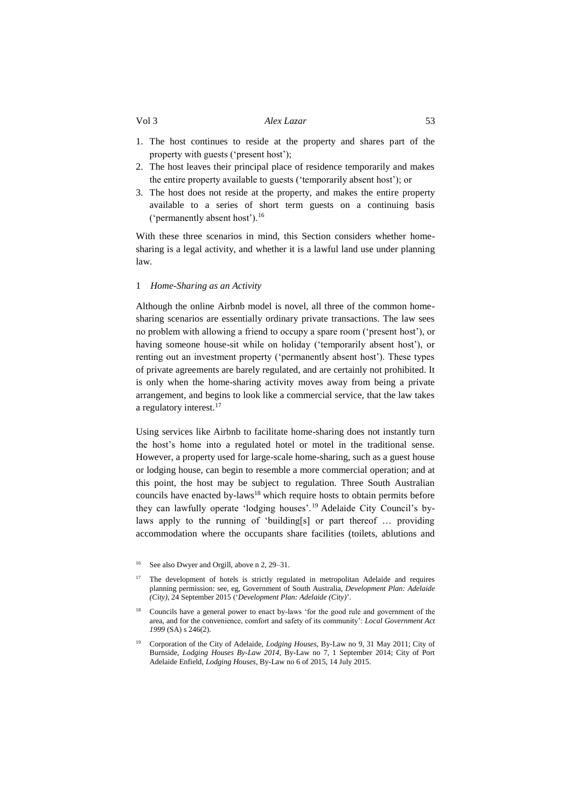- 1. The host continues to reside at the property and shares part of the property with guests ('present host');
- 2. The host leaves their principal place of residence temporarily and makes the entire property available to guests ('temporarily absent host'); or
- 3. The host does not reside at the property, and makes the entire property available to a series of short term guests on a continuing basis ('permanently absent host').<sup>16</sup>

With these three scenarios in mind, this Section considers whether homesharing is a legal activity, and whether it is a lawful land use under planning law.

#### <span id="page-4-0"></span>1 *Home-Sharing as an Activity*

Although the online Airbnb model is novel, all three of the common homesharing scenarios are essentially ordinary private transactions. The law sees no problem with allowing a friend to occupy a spare room ('present host'), or having someone house-sit while on holiday ('temporarily absent host'), or renting out an investment property ('permanently absent host'). These types of private agreements are barely regulated, and are certainly not prohibited. It is only when the home-sharing activity moves away from being a private arrangement, and begins to look like a commercial service, that the law takes a regulatory interest.<sup>17</sup>

<span id="page-4-1"></span>Using services like Airbnb to facilitate home-sharing does not instantly turn the host's home into a regulated hotel or motel in the traditional sense. However, a property used for large-scale home-sharing, such as a guest house or lodging house, can begin to resemble a more commercial operation; and at this point, the host may be subject to regulation. Three South Australian councils have enacted by-laws<sup>18</sup> which require hosts to obtain permits before they can lawfully operate 'lodging houses'.<sup>19</sup> Adelaide City Council's bylaws apply to the running of 'building[s] or part thereof … providing accommodation where the occupants share facilities (toilets, ablutions and

- <sup>17</sup> The development of hotels is strictly regulated in metropolitan Adelaide and requires planning permission: see, eg, Government of South Australia, *Development Plan: Adelaide (City)*, 24 September 2015 ('*Development Plan: Adelaide (City)*'.
- <sup>18</sup> Councils have a general power to enact by-laws 'for the good rule and government of the area, and for the convenience, comfort and safety of its community': *Local Government Act 1999* (SA) s 246(2).
- <sup>19</sup> Corporation of the City of Adelaide, *Lodging Houses,* By-Law no 9, 31 May 2011; City of Burnside, *Lodging Houses By-Law 2014,* By-Law no 7, 1 September 2014; City of Port Adelaide Enfield, *Lodging Houses*, By-Law no 6 of 2015, 14 July 2015.

See also Dwyer and Orgill, above n [2,](#page-1-1) 29–31.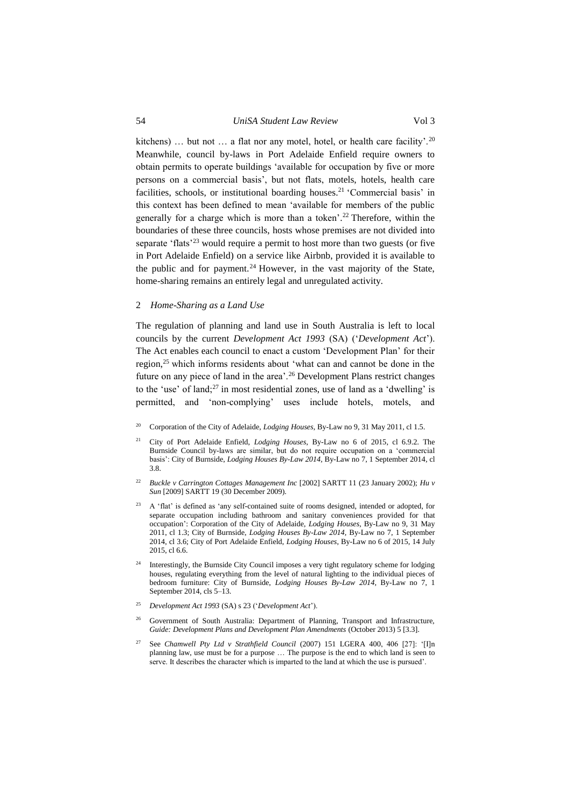kitchens) ... but not ... a flat nor any motel, hotel, or health care facility'.<sup>20</sup> Meanwhile, council by-laws in Port Adelaide Enfield require owners to obtain permits to operate buildings 'available for occupation by five or more persons on a commercial basis', but not flats, motels, hotels, health care facilities, schools, or institutional boarding houses. <sup>21</sup> 'Commercial basis' in this context has been defined to mean 'available for members of the public generally for a charge which is more than a token'. <sup>22</sup> Therefore, within the boundaries of these three councils, hosts whose premises are not divided into separate 'flats'<sup>23</sup> would require a permit to host more than two guests (or five in Port Adelaide Enfield) on a service like Airbnb, provided it is available to the public and for payment.<sup>24</sup> However, in the vast majority of the State, home-sharing remains an entirely legal and unregulated activity.

#### <span id="page-5-0"></span>2 *Home-Sharing as a Land Use*

The regulation of planning and land use in South Australia is left to local councils by the current *Development Act 1993* (SA) ('*Development Act*'). The Act enables each council to enact a custom 'Development Plan' for their region,<sup>25</sup> which informs residents about 'what can and cannot be done in the future on any piece of land in the area'.<sup>26</sup> Development Plans restrict changes to the 'use' of land; $27$  in most residential zones, use of land as a 'dwelling' is permitted, and 'non-complying' uses include hotels, motels, and

- <sup>20</sup> Corporation of the City of Adelaide, *Lodging Houses,* By-Law no 9, 31 May 2011, cl 1.5.
- <sup>21</sup> City of Port Adelaide Enfield, *Lodging Houses*, By-Law no 6 of 2015, cl 6.9.2. The Burnside Council by-laws are similar, but do not require occupation on a 'commercial basis': City of Burnside, *Lodging Houses By-Law 2014,* By-Law no 7, 1 September 2014, cl 3.8.
- <sup>22</sup> *Buckle v Carrington Cottages Management Inc* [2002] SARTT 11 (23 January 2002); *Hu v Sun* [2009] SARTT 19 (30 December 2009).
- <sup>23</sup> A 'flat' is defined as 'any self-contained suite of rooms designed, intended or adopted, for separate occupation including bathroom and sanitary conveniences provided for that occupation': Corporation of the City of Adelaide, *Lodging Houses,* By-Law no 9, 31 May 2011, cl 1.3; City of Burnside, *Lodging Houses By-Law 2014,* By-Law no 7, 1 September 2014, cl 3.6; City of Port Adelaide Enfield, *Lodging Houses*, By-Law no 6 of 2015, 14 July 2015, cl 6.6.
- <sup>24</sup> Interestingly, the Burnside City Council imposes a very tight regulatory scheme for lodging houses, regulating everything from the level of natural lighting to the individual pieces of bedroom furniture: City of Burnside, *Lodging Houses By-Law 2014*, By-Law no 7, 1 September 2014, cls 5–13.
- <sup>25</sup> *Development Act 1993* (SA) s 23 ('*Development Act*').
- <sup>26</sup> Government of South Australia: Department of Planning, Transport and Infrastructure, *Guide: Development Plans and Development Plan Amendments* (October 2013) 5 [3.3].
- See *Chamwell Pty Ltd v Strathfield Council* (2007) 151 LGERA 400, 406 [27]: '[I]n planning law, use must be for a purpose … The purpose is the end to which land is seen to serve. It describes the character which is imparted to the land at which the use is pursued'.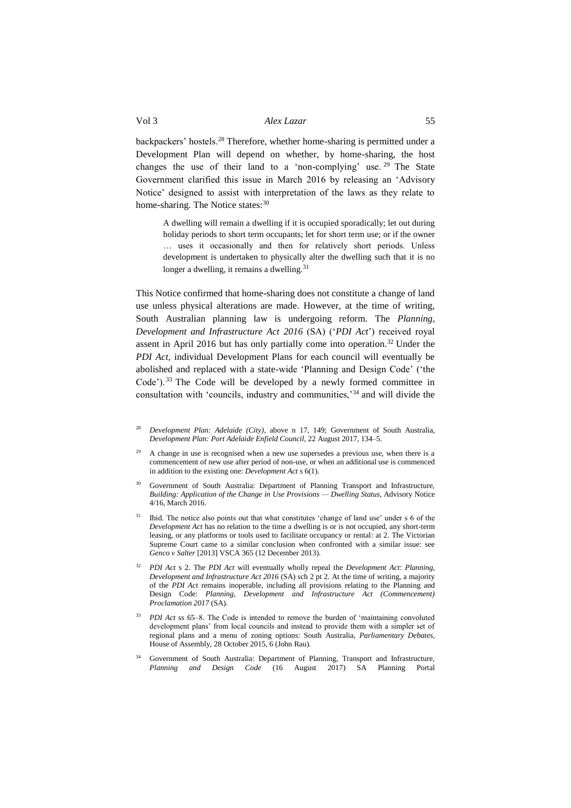backpackers' hostels.<sup>28</sup> Therefore, whether home-sharing is permitted under a Development Plan will depend on whether, by home-sharing, the host changes the use of their land to a 'non-complying' use. <sup>29</sup> The State Government clarified this issue in March 2016 by releasing an 'Advisory Notice' designed to assist with interpretation of the laws as they relate to home-sharing. The Notice states:<sup>30</sup>

A dwelling will remain a dwelling if it is occupied sporadically; let out during holiday periods to short term occupants; let for short term use; or if the owner … uses it occasionally and then for relatively short periods. Unless development is undertaken to physically alter the dwelling such that it is no longer a dwelling, it remains a dwelling. $31$ 

This Notice confirmed that home-sharing does not constitute a change of land use unless physical alterations are made. However, at the time of writing, South Australian planning law is undergoing reform. The *Planning, Development and Infrastructure Act 2016* (SA) ('*PDI Act*') received royal assent in April 2016 but has only partially come into operation.<sup>32</sup> Under the *PDI Act*, individual Development Plans for each council will eventually be abolished and replaced with a state-wide 'Planning and Design Code' ('the Code').<sup>33</sup> The Code will be developed by a newly formed committee in consultation with 'councils, industry and communities,'<sup>34</sup> and will divide the

- <sup>29</sup> A change in use is recognised when a new use supersedes a previous use, when there is a commencement of new use after period of non-use, or when an additional use is commenced in addition to the existing one: *Development Act* s 6(1).
- <sup>30</sup> Government of South Australia: Department of Planning Transport and Infrastructure, *Building: Application of the Change in Use Provisions — Dwelling Status,* Advisory Notice 4/16, March 2016.
- <sup>31</sup> Ibid. The notice also points out that what constitutes 'change of land use' under s 6 of the *Development Act* has no relation to the time a dwelling is or is not occupied, any short-term leasing, or any platforms or tools used to facilitate occupancy or rental: at 2. The Victorian Supreme Court came to a similar conclusion when confronted with a similar issue: see *Genco v Salter* [2013] VSCA 365 (12 December 2013).
- <sup>32</sup> *PDI Act* s 2. The *PDI Act* will eventually wholly repeal the *Development Act*: *Planning, Development and Infrastructure Act 2016* (SA) sch 2 pt 2. At the time of writing, a majority of the *PDI Act* remains inoperable, including all provisions relating to the Planning and Design Code: *Planning, Development and Infrastructure Act (Commencement) Proclamation 2017* (SA).
- <sup>33</sup> *PDI Act* ss 65–8. The Code is intended to remove the burden of 'maintaining convoluted development plans' from local councils and instead to provide them with a simpler set of regional plans and a menu of zoning options: South Australia, *Parliamentary Debates,* House of Assembly, 28 October 2015, 6 (John Rau).
- <sup>34</sup> Government of South Australia: Department of Planning, Transport and Infrastructure, *Planning and Design Code* (16 August 2017) SA Planning Portal

<span id="page-6-0"></span><sup>28</sup> *Development Plan: Adelaide (City)*, above n [17,](#page-4-1) 149; Government of South Australia, *Development Plan: Port Adelaide Enfield Council,* 22 August 2017, 134–5.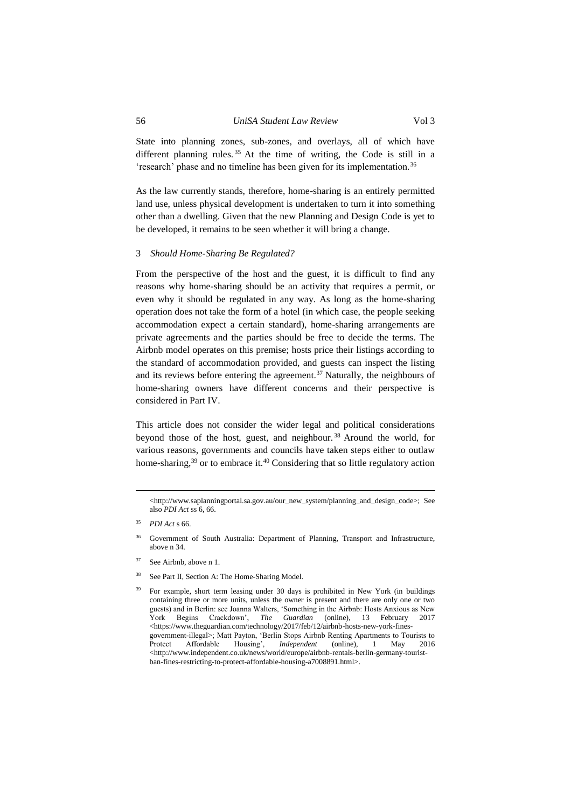State into planning zones, sub-zones, and overlays, all of which have different planning rules.<sup>35</sup> At the time of writing, the Code is still in a 'research' phase and no timeline has been given for its implementation.<sup>36</sup>

As the law currently stands, therefore, home-sharing is an entirely permitted land use, unless physical development is undertaken to turn it into something other than a dwelling. Given that the new Planning and Design Code is yet to be developed, it remains to be seen whether it will bring a change.

#### <span id="page-7-0"></span>3 *Should Home-Sharing Be Regulated?*

From the perspective of the host and the guest, it is difficult to find any reasons why home-sharing should be an activity that requires a permit, or even why it should be regulated in any way. As long as the home-sharing operation does not take the form of a hotel (in which case, the people seeking accommodation expect a certain standard), home-sharing arrangements are private agreements and the parties should be free to decide the terms. The Airbnb model operates on this premise; hosts price their listings according to the standard of accommodation provided, and guests can inspect the listing and its reviews before entering the agreement.<sup>37</sup> Naturally, the neighbours of home-sharing owners have different concerns and their perspective is considered in Part IV.

This article does not consider the wider legal and political considerations beyond those of the host, guest, and neighbour. <sup>38</sup> Around the world, for various reasons, governments and councils have taken steps either to outlaw home-sharing,<sup>39</sup> or to embrace it.<sup>40</sup> Considering that so little regulatory action

 $\overline{a}$ 

- <sup>37</sup> See Airbnb, above [n 1.](#page-1-2)
- <sup>38</sup> See Part II, Section A: The Home-Sharing Model.

<sup>&</sup>lt;http://www.saplanningportal.sa.gov.au/our\_new\_system/planning\_and\_design\_code>; See also *PDI Act* ss 6, 66.

<sup>35</sup> *PDI Act* s 66.

<sup>&</sup>lt;sup>36</sup> Government of South Australia: Department of Planning, Transport and Infrastructure, above [n 34.](#page-6-0)

<sup>39</sup> For example, short term leasing under 30 days is prohibited in New York (in buildings containing three or more units, unless the owner is present and there are only one or two guests) and in Berlin: see Joanna Walters, 'Something in the Airbnb: Hosts Anxious as New York Begins Crackdown', *The Guardian* (online), 13 February 2017 <https://www.theguardian.com/technology/2017/feb/12/airbnb-hosts-new-york-finesgovernment-illegal>; Matt Payton, 'Berlin Stops Airbnb Renting Apartments to Tourists to Protect Affordable Housing', *Independent* (online), 1 May 2016 <http://www.independent.co.uk/news/world/europe/airbnb-rentals-berlin-germany-touristban-fines-restricting-to-protect-affordable-housing-a7008891.html>.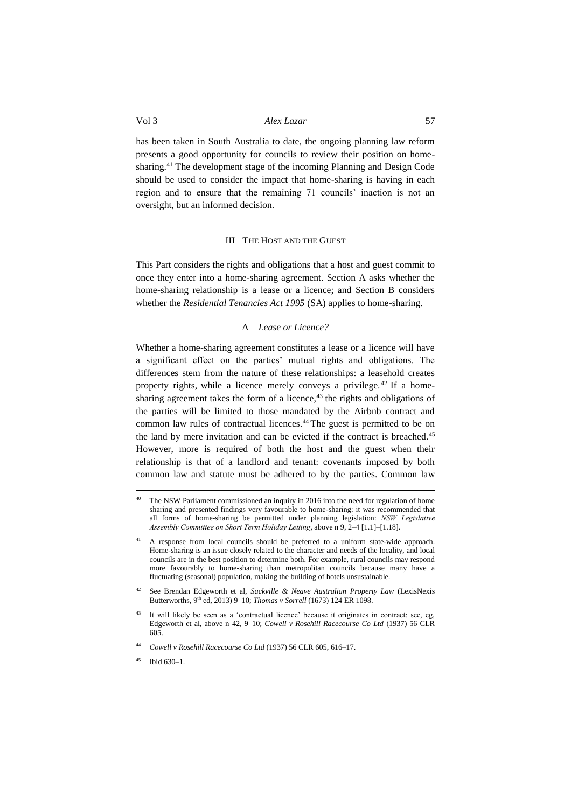has been taken in South Australia to date, the ongoing planning law reform presents a good opportunity for councils to review their position on homesharing.<sup>41</sup> The development stage of the incoming Planning and Design Code should be used to consider the impact that home-sharing is having in each region and to ensure that the remaining 71 councils' inaction is not an oversight, but an informed decision.

### III THE HOST AND THE GUEST

<span id="page-8-0"></span>This Part considers the rights and obligations that a host and guest commit to once they enter into a home-sharing agreement. Section A asks whether the home-sharing relationship is a lease or a licence; and Section B considers whether the *Residential Tenancies Act 1995* (SA) applies to home-sharing.

# <span id="page-8-2"></span>A *Lease or Licence?*

<span id="page-8-1"></span>Whether a home-sharing agreement constitutes a lease or a licence will have a significant effect on the parties' mutual rights and obligations. The differences stem from the nature of these relationships: a leasehold creates property rights, while a licence merely conveys a privilege. <sup>42</sup> If a homesharing agreement takes the form of a licence, $43$  the rights and obligations of the parties will be limited to those mandated by the Airbnb contract and common law rules of contractual licences.<sup>44</sup> The guest is permitted to be on the land by mere invitation and can be evicted if the contract is breached.<sup>45</sup> However, more is required of both the host and the guest when their relationship is that of a landlord and tenant: covenants imposed by both common law and statute must be adhered to by the parties. Common law

 $\overline{a}$ 

The NSW Parliament commissioned an inquiry in 2016 into the need for regulation of home sharing and presented findings very favourable to home-sharing: it was recommended that all forms of home-sharing be permitted under planning legislation: *NSW Legislative Assembly Committee on Short Term Holiday Letting*, above n 9, 2–4 [1.1]–[1.18].

<sup>41</sup> A response from local councils should be preferred to a uniform state-wide approach. Home-sharing is an issue closely related to the character and needs of the locality, and local councils are in the best position to determine both. For example, rural councils may respond more favourably to home-sharing than metropolitan councils because many have a fluctuating (seasonal) population, making the building of hotels unsustainable.

<sup>42</sup> See Brendan Edgeworth et al, *Sackville & Neave Australian Property Law* (LexisNexis Butterworths, 9<sup>th</sup> ed, 2013) 9–10; *Thomas v Sorrell* (1673) 124 ER 1098.

It will likely be seen as a 'contractual licence' because it originates in contract: see, eg, Edgeworth et al, above n [42,](#page-8-2) 9–10; *Cowell v Rosehill Racecourse Co Ltd* (1937) 56 CLR 605.

<sup>44</sup> *Cowell v Rosehill Racecourse Co Ltd* (1937) 56 CLR 605, 616–17.

<sup>45</sup> Ibid 630–1.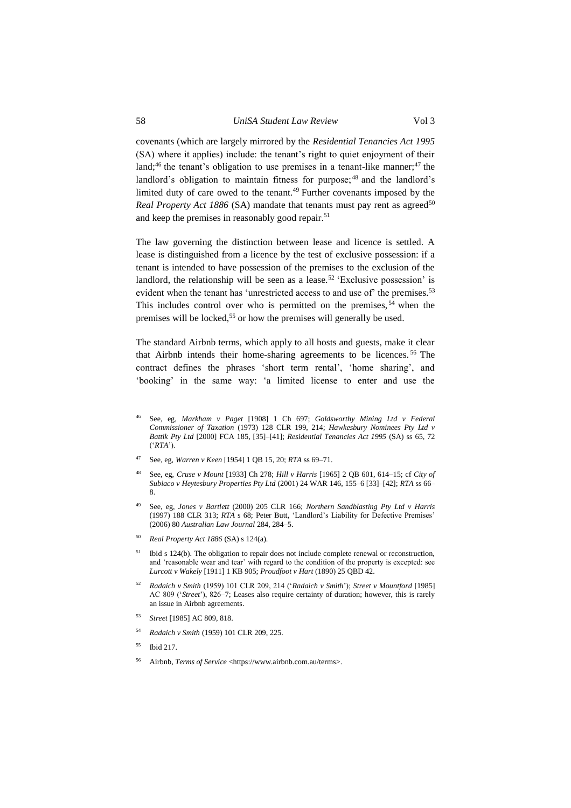covenants (which are largely mirrored by the *Residential Tenancies Act 1995* (SA) where it applies) include: the tenant's right to quiet enjoyment of their land;<sup>46</sup> the tenant's obligation to use premises in a tenant-like manner;<sup>47</sup> the landlord's obligation to maintain fitness for purpose;<sup>48</sup> and the landlord's limited duty of care owed to the tenant.<sup>49</sup> Further covenants imposed by the *Real Property Act 1886* (SA) mandate that tenants must pay rent as agreed<sup>50</sup> and keep the premises in reasonably good repair.<sup>51</sup>

The law governing the distinction between lease and licence is settled. A lease is distinguished from a licence by the test of exclusive possession: if a tenant is intended to have possession of the premises to the exclusion of the landlord, the relationship will be seen as a lease.<sup>52</sup> 'Exclusive possession' is evident when the tenant has 'unrestricted access to and use of' the premises.<sup>53</sup> This includes control over who is permitted on the premises,  $54$  when the premises will be locked,<sup>55</sup> or how the premises will generally be used.

The standard Airbnb terms, which apply to all hosts and guests, make it clear that Airbnb intends their home-sharing agreements to be licences. <sup>56</sup> The contract defines the phrases 'short term rental', 'home sharing', and 'booking' in the same way: 'a limited license to enter and use the

- <sup>47</sup> See, eg, *Warren v Keen* [1954] 1 QB 15, 20; *RTA* ss 69–71.
- <sup>48</sup> See, eg, *Cruse v Mount* [1933] Ch 278; *Hill v Harris* [1965] 2 QB 601, 614–15; cf *City of Subiaco v Heytesbury Properties Pty Ltd* (2001) 24 WAR 146, 155–6 [33]–[42]; *RTA* ss 66– 8.
- <sup>49</sup> See, eg, *Jones v Bartlett* (2000) 205 CLR 166; *Northern Sandblasting Pty Ltd v Harris* (1997) 188 CLR 313; *RTA* s 68; Peter Butt, 'Landlord's Liability for Defective Premises' (2006) 80 *Australian Law Journal* 284, 284–5.
- <sup>50</sup> *Real Property Act 1886* (SA) s 124(a).
- Ibid s 124(b). The obligation to repair does not include complete renewal or reconstruction, and 'reasonable wear and tear' with regard to the condition of the property is excepted: see *Lurcott v Wakely* [1911] 1 KB 905; *Proudfoot v Hart* (1890) 25 QBD 42.
- <sup>52</sup> *Radaich v Smith* (1959) 101 CLR 209, 214 ('*Radaich v Smith*'); *Street v Mountford* [1985] AC 809 ('*Street*'), 826–7; Leases also require certainty of duration; however, this is rarely an issue in Airbnb agreements.
- <sup>53</sup> *Street* [1985] AC 809, 818.
- <sup>54</sup> *Radaich v Smith* (1959) 101 CLR 209, 225.
- <sup>55</sup> Ibid 217.
- <sup>56</sup> Airbnb, *Terms of Service* <https://www.airbnb.com.au/terms>.

<sup>46</sup> See, eg, *Markham v Paget* [1908] 1 Ch 697; *Goldsworthy Mining Ltd v Federal Commissioner of Taxation* (1973) 128 CLR 199, 214; *Hawkesbury Nominees Pty Ltd v Battik Pty Ltd* [2000] FCA 185, [35]–[41]; *Residential Tenancies Act 1995* (SA) ss 65, 72 ('*RTA*').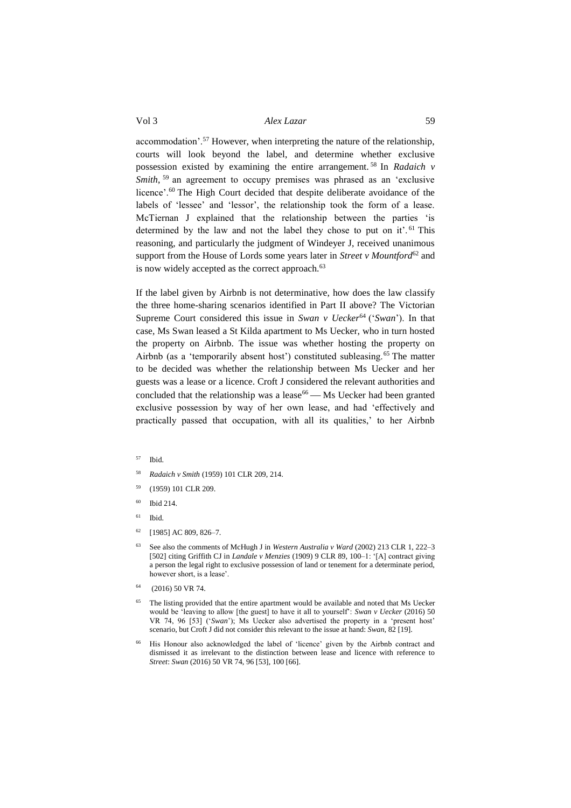accommodation'.<sup>57</sup> However, when interpreting the nature of the relationship, courts will look beyond the label, and determine whether exclusive possession existed by examining the entire arrangement. <sup>58</sup> In *Radaich v Smith*, <sup>59</sup> an agreement to occupy premises was phrased as an 'exclusive licence'.<sup>60</sup> The High Court decided that despite deliberate avoidance of the labels of 'lessee' and 'lessor', the relationship took the form of a lease. McTiernan J explained that the relationship between the parties 'is determined by the law and not the label they chose to put on it'.<sup>61</sup> This reasoning, and particularly the judgment of Windeyer J, received unanimous support from the House of Lords some years later in *Street v Mountford*<sup>62</sup> and is now widely accepted as the correct approach.<sup>63</sup>

If the label given by Airbnb is not determinative, how does the law classify the three home-sharing scenarios identified in Part II above? The Victorian Supreme Court considered this issue in *Swan v Uecker*<sup>64</sup> ('*Swan*'). In that case, Ms Swan leased a St Kilda apartment to Ms Uecker, who in turn hosted the property on Airbnb. The issue was whether hosting the property on Airbnb (as a 'temporarily absent host') constituted subleasing.<sup>65</sup> The matter to be decided was whether the relationship between Ms Uecker and her guests was a lease or a licence. Croft J considered the relevant authorities and concluded that the relationship was a lease<sup>66</sup> — Ms Uecker had been granted exclusive possession by way of her own lease, and had 'effectively and practically passed that occupation, with all its qualities,' to her Airbnb

- <sup>57</sup> Ibid.
- <sup>58</sup> *Radaich v Smith* (1959) 101 CLR 209, 214.
- <sup>59</sup> (1959) 101 CLR 209.
- <sup>60</sup> Ibid 214.
- $61$  Ibid.
- $62$  [1985] AC 809, 826–7.
- <sup>63</sup> See also the comments of McHugh J in *Western Australia v Ward* (2002) 213 CLR 1, 222–3 [502] citing Griffith CJ in *Landale v Menzies* (1909) 9 CLR 89, 100–1: '[A] contract giving a person the legal right to exclusive possession of land or tenement for a determinate period, however short, is a lease'.
- $64$  (2016) 50 VR 74.
- <sup>65</sup> The listing provided that the entire apartment would be available and noted that Ms Uecker would be 'leaving to allow [the guest] to have it all to yourself': *Swan v Uecker* (2016) 50 VR 74, 96 [53] ('*Swan*'); Ms Uecker also advertised the property in a 'present host' scenario, but Croft J did not consider this relevant to the issue at hand: *Swan,* 82 [19].
- His Honour also acknowledged the label of 'licence' given by the Airbnb contract and dismissed it as irrelevant to the distinction between lease and licence with reference to *Street*: *Swan* (2016) 50 VR 74, 96 [53], 100 [66].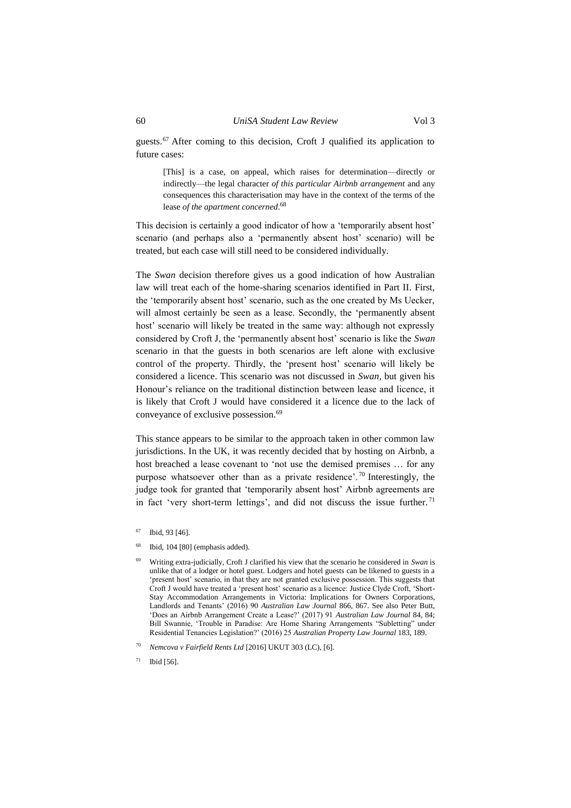guests.<sup>67</sup> After coming to this decision, Croft J qualified its application to future cases:

[This] is a case, on appeal, which raises for determination—directly or indirectly—the legal character *of this particular Airbnb arrangement* and any consequences this characterisation may have in the context of the terms of the lease *of the apartment concerned*. 68

This decision is certainly a good indicator of how a 'temporarily absent host' scenario (and perhaps also a 'permanently absent host' scenario) will be treated, but each case will still need to be considered individually.

The *Swan* decision therefore gives us a good indication of how Australian law will treat each of the home-sharing scenarios identified in Part II. First, the 'temporarily absent host' scenario, such as the one created by Ms Uecker, will almost certainly be seen as a lease. Secondly, the 'permanently absent host' scenario will likely be treated in the same way: although not expressly considered by Croft J, the 'permanently absent host' scenario is like the *Swan* scenario in that the guests in both scenarios are left alone with exclusive control of the property. Thirdly, the 'present host' scenario will likely be considered a licence. This scenario was not discussed in *Swan,* but given his Honour's reliance on the traditional distinction between lease and licence, it is likely that Croft J would have considered it a licence due to the lack of conveyance of exclusive possession.<sup>69</sup>

<span id="page-11-0"></span>This stance appears to be similar to the approach taken in other common law jurisdictions. In the UK, it was recently decided that by hosting on Airbnb, a host breached a lease covenant to 'not use the demised premises … for any purpose whatsoever other than as a private residence'. <sup>70</sup> Interestingly, the judge took for granted that 'temporarily absent host' Airbnb agreements are in fact 'very short-term lettings', and did not discuss the issue further. <sup>71</sup>

 $68$  Ibid, 104 [80] (emphasis added).

 $67$  Ibid, 93 [46].

<sup>69</sup> Writing extra-judicially, Croft J clarified his view that the scenario he considered in *Swan* is unlike that of a lodger or hotel guest. Lodgers and hotel guests can be likened to guests in a 'present host' scenario, in that they are not granted exclusive possession. This suggests that Croft J would have treated a 'present host' scenario as a licence: Justice Clyde Croft, 'Short-Stay Accommodation Arrangements in Victoria: Implications for Owners Corporations, Landlords and Tenants' (2016) 90 *Australian Law Journal* 866, 867. See also Peter Butt, 'Does an Airbnb Arrangement Create a Lease?' (2017) 91 *Australian Law Journal* 84, 84; Bill Swannie, 'Trouble in Paradise: Are Home Sharing Arrangements "Subletting" under Residential Tenancies Legislation?' (2016) 25 *Australian Property Law Journal* 183, 189.

<sup>70</sup> *Nemcova v Fairfield Rents Ltd* [2016] UKUT 303 (LC), [6].

 $71$  Ibid [56].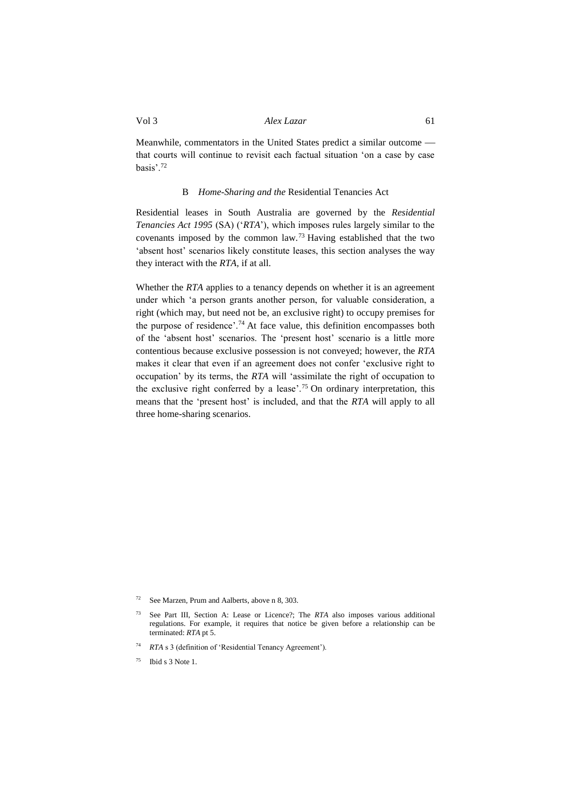Meanwhile, commentators in the United States predict a similar outcome that courts will continue to revisit each factual situation 'on a case by case basis'.<sup>72</sup>

#### B *Home-Sharing and the* Residential Tenancies Act

<span id="page-12-0"></span>Residential leases in South Australia are governed by the *Residential Tenancies Act 1995* (SA) ('*RTA*'), which imposes rules largely similar to the covenants imposed by the common law.<sup>73</sup> Having established that the two 'absent host' scenarios likely constitute leases, this section analyses the way they interact with the *RTA*, if at all.

Whether the *RTA* applies to a tenancy depends on whether it is an agreement under which 'a person grants another person, for valuable consideration, a right (which may, but need not be, an exclusive right) to occupy premises for the purpose of residence'.<sup>74</sup> At face value, this definition encompasses both of the 'absent host' scenarios. The 'present host' scenario is a little more contentious because exclusive possession is not conveyed; however, the *RTA* makes it clear that even if an agreement does not confer 'exclusive right to occupation' by its terms, the *RTA* will 'assimilate the right of occupation to the exclusive right conferred by a lease'.<sup>75</sup> On ordinary interpretation, this means that the 'present host' is included, and that the *RTA* will apply to all three home-sharing scenarios.

<sup>72</sup> See Marzen, Prum and Aalberts, above [n 8,](#page-3-1) 303.

<sup>73</sup> See Part III, Section A: Lease or Licence?; The *RTA* also imposes various additional regulations. For example, it requires that notice be given before a relationship can be terminated: *RTA* pt 5.

<sup>74</sup> *RTA* s 3 (definition of 'Residential Tenancy Agreement').

 $75$  Ibid s 3 Note 1.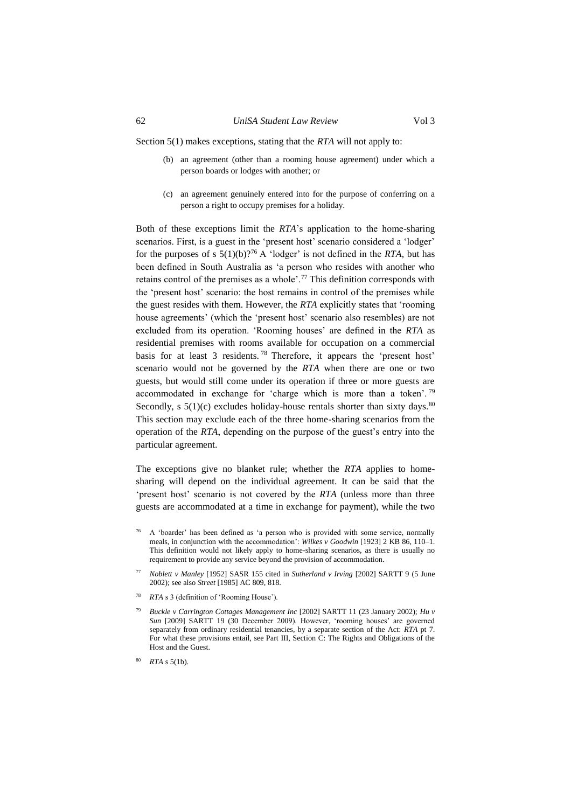Section 5(1) makes exceptions, stating that the *RTA* will not apply to:

- (b) an agreement (other than a rooming house agreement) under which a person boards or lodges with another; or
- (c) an agreement genuinely entered into for the purpose of conferring on a person a right to occupy premises for a holiday.

Both of these exceptions limit the *RTA*'s application to the home-sharing scenarios. First, is a guest in the 'present host' scenario considered a 'lodger' for the purposes of s  $5(1)(b)$ ?<sup>76</sup> A 'lodger' is not defined in the *RTA*, but has been defined in South Australia as 'a person who resides with another who retains control of the premises as a whole'.<sup>77</sup> This definition corresponds with the 'present host' scenario: the host remains in control of the premises while the guest resides with them. However, the *RTA* explicitly states that 'rooming house agreements' (which the 'present host' scenario also resembles) are not excluded from its operation. 'Rooming houses' are defined in the *RTA* as residential premises with rooms available for occupation on a commercial basis for at least 3 residents. <sup>78</sup> Therefore, it appears the 'present host' scenario would not be governed by the *RTA* when there are one or two guests, but would still come under its operation if three or more guests are accommodated in exchange for 'charge which is more than a token'. <sup>79</sup> Secondly, s  $5(1)(c)$  excludes holiday-house rentals shorter than sixty days.<sup>80</sup> This section may exclude each of the three home-sharing scenarios from the operation of the *RTA*, depending on the purpose of the guest's entry into the particular agreement.

The exceptions give no blanket rule; whether the *RTA* applies to homesharing will depend on the individual agreement. It can be said that the 'present host' scenario is not covered by the *RTA* (unless more than three guests are accommodated at a time in exchange for payment), while the two

- <sup>76</sup> A 'boarder' has been defined as 'a person who is provided with some service, normally meals, in conjunction with the accommodation': *Wilkes v Goodwin* [1923] 2 KB 86, 110–1. This definition would not likely apply to home-sharing scenarios, as there is usually no requirement to provide any service beyond the provision of accommodation.
- <sup>77</sup> *Noblett v Manley* [1952] SASR 155 cited in *Sutherland v Irving* [2002] SARTT 9 (5 June 2002); see also *Street* [1985] AC 809, 818.
- <sup>78</sup> *RTA* s 3 (definition of 'Rooming House').
- <sup>79</sup> *Buckle v Carrington Cottages Management Inc* [2002] SARTT 11 (23 January 2002); *Hu v Sun* [2009] SARTT 19 (30 December 2009). However, 'rooming houses' are governed separately from ordinary residential tenancies, by a separate section of the Act: *RTA* pt 7. For what these provisions entail, see Part III, Section C: The Rights and Obligations of the Host and the Guest.
- *RTA* s 5(1b).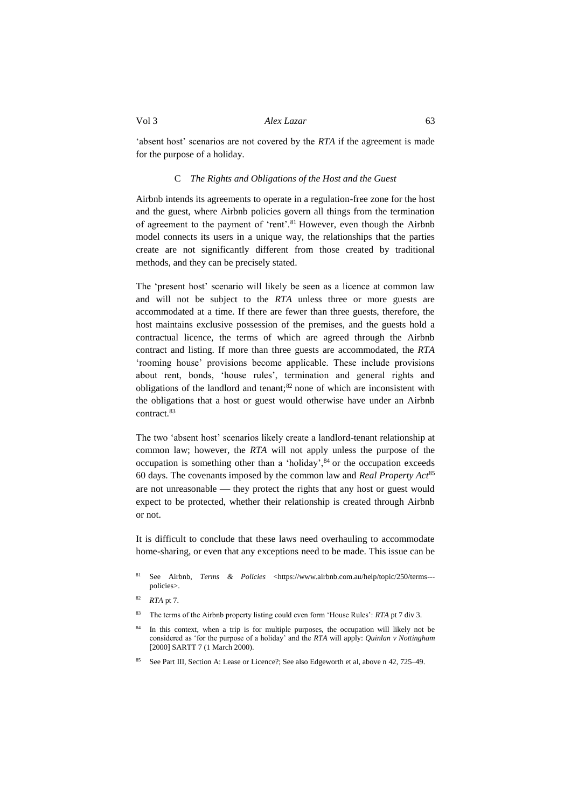'absent host' scenarios are not covered by the *RTA* if the agreement is made for the purpose of a holiday.

# C *The Rights and Obligations of the Host and the Guest*

<span id="page-14-0"></span>Airbnb intends its agreements to operate in a regulation-free zone for the host and the guest, where Airbnb policies govern all things from the termination of agreement to the payment of 'rent'.<sup>81</sup> However, even though the Airbnb model connects its users in a unique way, the relationships that the parties create are not significantly different from those created by traditional methods, and they can be precisely stated.

The 'present host' scenario will likely be seen as a licence at common law and will not be subject to the *RTA* unless three or more guests are accommodated at a time. If there are fewer than three guests, therefore, the host maintains exclusive possession of the premises, and the guests hold a contractual licence, the terms of which are agreed through the Airbnb contract and listing. If more than three guests are accommodated, the *RTA* 'rooming house' provisions become applicable. These include provisions about rent, bonds, 'house rules', termination and general rights and obligations of the landlord and tenant;<sup>82</sup> none of which are inconsistent with the obligations that a host or guest would otherwise have under an Airbnb contract.<sup>83</sup>

The two 'absent host' scenarios likely create a landlord-tenant relationship at common law; however, the *RTA* will not apply unless the purpose of the occupation is something other than a 'holiday', 84 or the occupation exceeds 60 days. The covenants imposed by the common law and *Real Property Act*<sup>85</sup> are not unreasonable  $-$  they protect the rights that any host or guest would expect to be protected, whether their relationship is created through Airbnb or not.

It is difficult to conclude that these laws need overhauling to accommodate home-sharing, or even that any exceptions need to be made. This issue can be

- <sup>81</sup> See Airbnb, *Terms & Policies* [<https://www.airbnb.com.au/help/topic/250/terms--](https://www.airbnb.com.au/help/topic/250/terms---policies) [policies>](https://www.airbnb.com.au/help/topic/250/terms---policies).
- <sup>82</sup> *RTA* pt 7.
- <sup>83</sup> The terms of the Airbnb property listing could even form 'House Rules': *RTA* pt 7 div 3.
- In this context, when a trip is for multiple purposes, the occupation will likely not be considered as 'for the purpose of a holiday' and the *RTA* will apply: *Quinlan v Nottingham* [2000] SARTT 7 (1 March 2000).
- See Part III, Section A: Lease or Licence?; See also Edgeworth et al, above n [42,](#page-8-2) 725–49.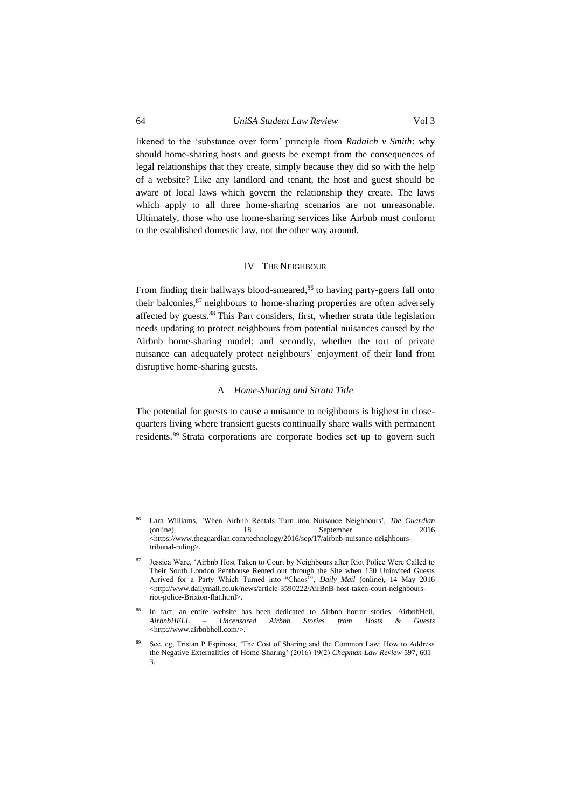likened to the 'substance over form' principle from *Radaich v Smith*: why should home-sharing hosts and guests be exempt from the consequences of legal relationships that they create, simply because they did so with the help of a website? Like any landlord and tenant, the host and guest should be aware of local laws which govern the relationship they create. The laws which apply to all three home-sharing scenarios are not unreasonable. Ultimately, those who use home-sharing services like Airbnb must conform to the established domestic law, not the other way around.

#### IV THE NEIGHBOUR

<span id="page-15-0"></span>From finding their hallways blood-smeared, $86$  to having party-goers fall onto their balconies, $87$  neighbours to home-sharing properties are often adversely affected by guests.<sup>88</sup> This Part considers, first, whether strata title legislation needs updating to protect neighbours from potential nuisances caused by the Airbnb home-sharing model; and secondly, whether the tort of private nuisance can adequately protect neighbours' enjoyment of their land from disruptive home-sharing guests.

#### A *Home-Sharing and Strata Title*

<span id="page-15-1"></span>The potential for guests to cause a nuisance to neighbours is highest in closequarters living where transient guests continually share walls with permanent residents.<sup>89</sup> Strata corporations are corporate bodies set up to govern such

<sup>86</sup> Lara Williams, *'*When Airbnb Rentals Turn into Nuisance Neighbours', *The Guardian*  September 2016 <https://www.theguardian.com/technology/2016/sep/17/airbnb-nuisance-neighbourstribunal-ruling>.

<sup>87</sup> Jessica Ware, 'Airbnb Host Taken to Court by Neighbours after Riot Police Were Called to Their South London Penthouse Rented out through the Site when 150 Uninvited Guests Arrived for a Party Which Turned into "Chaos"', *Daily Mail* (online), 14 May 2016 <http://www.dailymail.co.uk/news/article-3590222/AirBnB-host-taken-court-neighboursriot-police-Brixton-flat.html>.

In fact, an entire website has been dedicated to Airbnb horror stories: AirbnbHell, AirbnbHELL – Uncensored Airbnb Stories from Hosts & Guests *AirbnbHELL – Uncensored Airbnb Stories from Hosts & Guests*  <http://www.airbnbhell.com/>.

See, eg, Tristan P Espinosa, 'The Cost of Sharing and the Common Law: How to Address the Negative Externalities of Home-Sharing' (2016) 19(2) *Chapman Law Review* 597, 601– 3.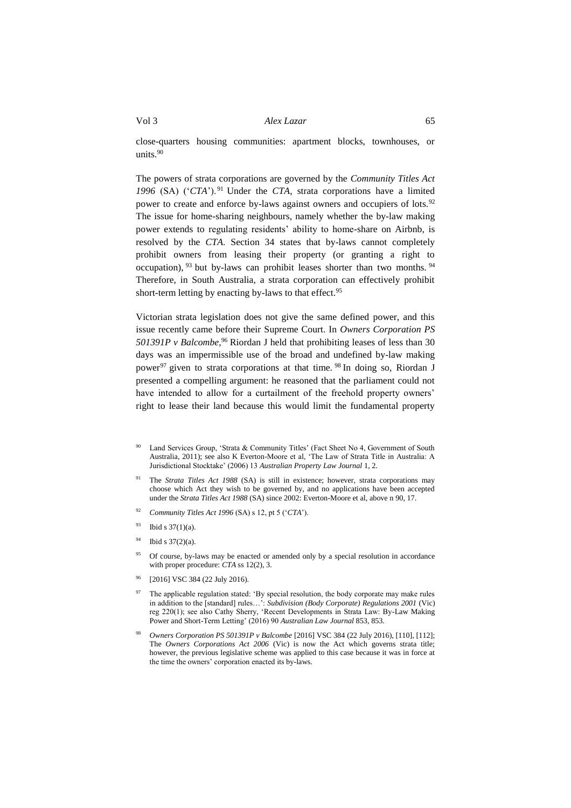<span id="page-16-0"></span>close-quarters housing communities: apartment blocks, townhouses, or units. $90$ 

The powers of strata corporations are governed by the *Community Titles Act 1996* (SA) ('*CTA*'). <sup>91</sup> Under the *CTA*, strata corporations have a limited power to create and enforce by-laws against owners and occupiers of lots.<sup>92</sup> The issue for home-sharing neighbours, namely whether the by-law making power extends to regulating residents' ability to home-share on Airbnb, is resolved by the *CTA*. Section 34 states that by-laws cannot completely prohibit owners from leasing their property (or granting a right to occupation), <sup>93</sup> but by-laws can prohibit leases shorter than two months. <sup>94</sup> Therefore, in South Australia, a strata corporation can effectively prohibit short-term letting by enacting by-laws to that effect.<sup>95</sup>

<span id="page-16-1"></span>Victorian strata legislation does not give the same defined power, and this issue recently came before their Supreme Court. In *Owners Corporation PS 501391P v Balcombe*,<sup>96</sup> Riordan J held that prohibiting leases of less than 30 days was an impermissible use of the broad and undefined by-law making power<sup>97</sup> given to strata corporations at that time. <sup>98</sup> In doing so, Riordan J presented a compelling argument: he reasoned that the parliament could not have intended to allow for a curtailment of the freehold property owners' right to lease their land because this would limit the fundamental property

- Land Services Group, 'Strata & Community Titles' (Fact Sheet No 4, Government of South Australia, 2011); see also K Everton-Moore et al, 'The Law of Strata Title in Australia: A Jurisdictional Stocktake' (2006) 13 *Australian Property Law Journal* 1, 2.
- <sup>91</sup> The *Strata Titles Act 1988* (SA) is still in existence; however, strata corporations may choose which Act they wish to be governed by, and no applications have been accepted under the *Strata Titles Act 1988* (SA) since 2002: Everton-Moore et al, above [n 90,](#page-16-0) 17.
- <sup>92</sup> *Community Titles Act 1996* (SA) s 12, pt 5 ('*CTA*').
- $93$  Ibid s 37(1)(a).
- $94$  Ibid s 37(2)(a).
- <sup>95</sup> Of course, by-laws may be enacted or amended only by a special resolution in accordance with proper procedure: *CTA* ss 12(2), 3.
- [2016] VSC 384 (22 July 2016).
- 97 The applicable regulation stated: 'By special resolution, the body corporate may make rules in addition to the [standard] rules…': *Subdivision (Body Corporate) Regulations 2001* (Vic) reg 220(1); see also Cathy Sherry, 'Recent Developments in Strata Law: By-Law Making Power and Short-Term Letting' (2016) 90 *Australian Law Journal* 853, 853.
- <sup>98</sup> *Owners Corporation PS 501391P v Balcombe* [2016] VSC 384 (22 July 2016), [110], [112]; The *Owners Corporations Act 2006* (Vic) is now the Act which governs strata title; however, the previous legislative scheme was applied to this case because it was in force at the time the owners' corporation enacted its by-laws.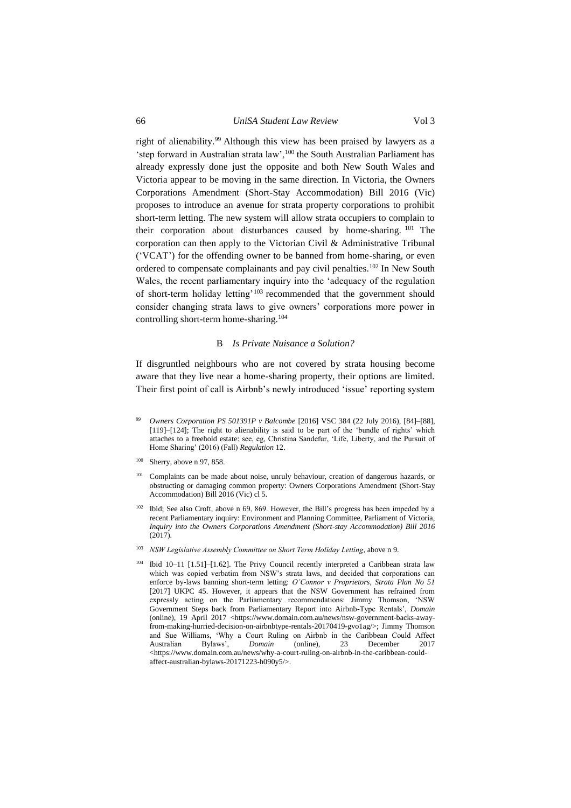right of alienability.<sup>99</sup> Although this view has been praised by lawyers as a 'step forward in Australian strata law',<sup>100</sup> the South Australian Parliament has already expressly done just the opposite and both New South Wales and Victoria appear to be moving in the same direction. In Victoria, the Owners Corporations Amendment (Short-Stay Accommodation) Bill 2016 (Vic) proposes to introduce an avenue for strata property corporations to prohibit short-term letting. The new system will allow strata occupiers to complain to their corporation about disturbances caused by home-sharing. <sup>101</sup> The corporation can then apply to the Victorian Civil & Administrative Tribunal ('VCAT') for the offending owner to be banned from home-sharing, or even ordered to compensate complainants and pay civil penalties.<sup>102</sup> In New South Wales, the recent parliamentary inquiry into the 'adequacy of the regulation of short-term holiday letting'<sup>103</sup> recommended that the government should consider changing strata laws to give owners' corporations more power in controlling short-term home-sharing.<sup>104</sup>

#### B *Is Private Nuisance a Solution?*

<span id="page-17-0"></span>If disgruntled neighbours who are not covered by strata housing become aware that they live near a home-sharing property, their options are limited. Their first point of call is Airbnb's newly introduced 'issue' reporting system

- <sup>99</sup> *Owners Corporation PS 501391P v Balcombe* [2016] VSC 384 (22 July 2016), [84]–[88], [119]–[124]; The right to alienability is said to be part of the 'bundle of rights' which attaches to a freehold estate: see, eg, Christina Sandefur, 'Life, Liberty, and the Pursuit of Home Sharing' (2016) (Fall) *Regulation* 12.
- $100$  Sherry, above [n 97,](#page-16-1) 858.
- <sup>101</sup> Complaints can be made about noise, unruly behaviour, creation of dangerous hazards, or obstructing or damaging common property: Owners Corporations Amendment (Short-Stay Accommodation) Bill 2016 (Vic) cl 5.
- <sup>102</sup> Ibid; See also Croft, above n [69,](#page-11-0) 869. However, the Bill's progress has been impeded by a recent Parliamentary inquiry: Environment and Planning Committee, Parliament of Victoria, *Inquiry into the Owners Corporations Amendment (Short-stay Accommodation) Bill 2016*  (2017).
- <sup>103</sup> *NSW Legislative Assembly Committee on Short Term Holiday Letting*, above n 9.
- <sup>104</sup> Ibid 10–11 [1.51]–[1.62]. The Privy Council recently interpreted a Caribbean strata law which was copied verbatim from NSW's strata laws, and decided that corporations can enforce by-laws banning short-term letting: *O'Connor v Proprietors, Strata Plan No 51*  [2017] UKPC 45. However, it appears that the NSW Government has refrained from expressly acting on the Parliamentary recommendations: Jimmy Thomson, 'NSW Government Steps back from Parliamentary Report into Airbnb-Type Rentals', *Domain*  (online), 19 April 2017 <https://www.domain.com.au/news/nsw-government-backs-awayfrom-making-hurried-decision-on-airbnbtype-rentals-20170419-gvo1ag/>; Jimmy Thomson and Sue Williams, 'Why a Court Ruling on Airbnb in the Caribbean Could Affect Australian Bylaws', *Domain* (online), 23 December 2017 Australian Bylaws', *Domain* (online), 23 December 2017 <https://www.domain.com.au/news/why-a-court-ruling-on-airbnb-in-the-caribbean-couldaffect-australian-bylaws-20171223-h090y5/>.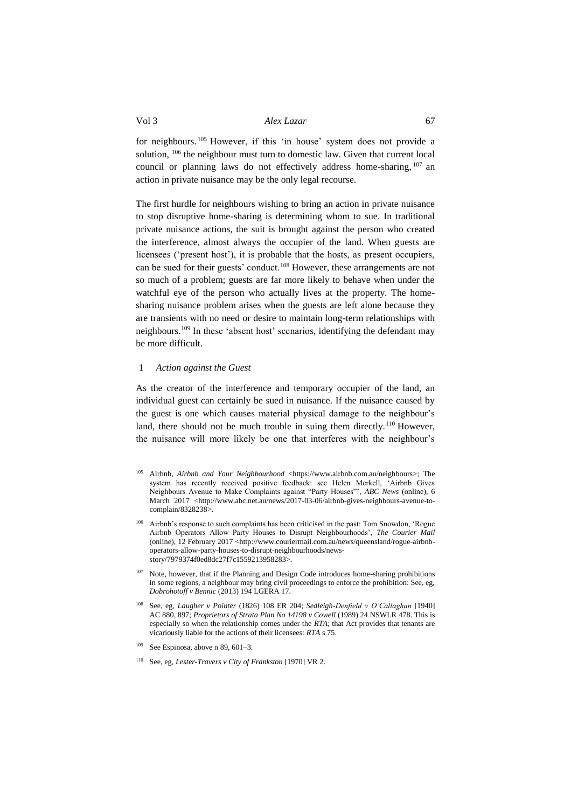for neighbours. <sup>105</sup> However, if this 'in house' system does not provide a solution, <sup>106</sup> the neighbour must turn to domestic law. Given that current local council or planning laws do not effectively address home-sharing, <sup>107</sup> an action in private nuisance may be the only legal recourse.

The first hurdle for neighbours wishing to bring an action in private nuisance to stop disruptive home-sharing is determining whom to sue. In traditional private nuisance actions, the suit is brought against the person who created the interference, almost always the occupier of the land. When guests are licensees ('present host'), it is probable that the hosts, as present occupiers, can be sued for their guests' conduct.<sup>108</sup> However, these arrangements are not so much of a problem; guests are far more likely to behave when under the watchful eye of the person who actually lives at the property. The homesharing nuisance problem arises when the guests are left alone because they are transients with no need or desire to maintain long-term relationships with neighbours.<sup>109</sup> In these 'absent host' scenarios, identifying the defendant may be more difficult.

#### <span id="page-18-0"></span>1 *Action against the Guest*

As the creator of the interference and temporary occupier of the land, an individual guest can certainly be sued in nuisance. If the nuisance caused by the guest is one which causes material physical damage to the neighbour's land, there should not be much trouble in suing them directly.<sup>110</sup> However, the nuisance will more likely be one that interferes with the neighbour's

- Airbnb, *Airbnb and Your Neighbourhood* <https://www.airbnb.com.au/neighbours>; The system has recently received positive feedback: see Helen Merkell, 'Airbnb Gives Neighbours Avenue to Make Complaints against "Party Houses"', *ABC News* (online), 6 March 2017 <http://www.abc.net.au/news/2017-03-06/airbnb-gives-neighbours-avenue-tocomplain/8328238>.
- Airbnb's response to such complaints has been criticised in the past: Tom Snowdon, 'Rogue Airbnb Operators Allow Party Houses to Disrupt Neighbourhoods', *The Courier Mail*  (online), 12 February 2017 <http://www.couriermail.com.au/news/queensland/rogue-airbnboperators-allow-party-houses-to-disrupt-neighbourhoods/newsstory/7979374f0ed8dc27f7c1559213958283>.
- $107$  Note, however, that if the Planning and Design Code introduces home-sharing prohibitions in some regions, a neighbour may bring civil proceedings to enforce the prohibition: See, eg, *Dobrohotoff v Bennic* (2013) 194 LGERA 17.
- <sup>108</sup> See, eg, *Laugher v Pointer* (1826) 108 ER 204; *Sedleigh-Denfield v O'Callaghan* [1940] AC 880, 897; *Proprietors of Strata Plan No 14198 v Cowell* (1989) 24 NSWLR 478. This is especially so when the relationship comes under the *RTA*; that Act provides that tenants are vicariously liable for the actions of their licensees: *RTA* s 75.
- <sup>109</sup> See Espinosa, above n 89, 601–3.
- <sup>110</sup> See, eg, *Lester-Travers v City of Frankston* [1970] VR 2.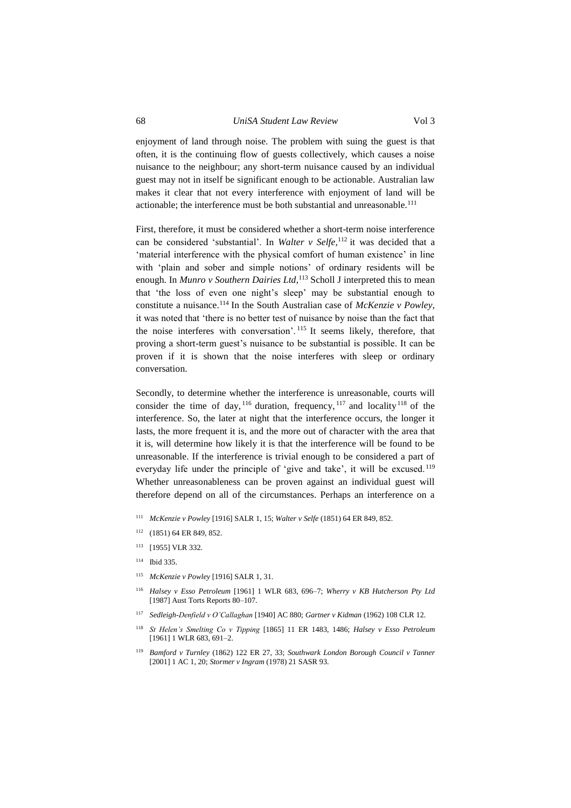makes it clear that not every interference with enjoyment of land will be actionable; the interference must be both substantial and unreasonable.<sup>111</sup>

enjoyment of land through noise. The problem with suing the guest is that often, it is the continuing flow of guests collectively, which causes a noise nuisance to the neighbour; any short-term nuisance caused by an individual guest may not in itself be significant enough to be actionable. Australian law

First, therefore, it must be considered whether a short-term noise interference can be considered 'substantial'. In *Walter v Selfe,*<sup>112</sup> it was decided that a 'material interference with the physical comfort of human existence' in line with 'plain and sober and simple notions' of ordinary residents will be enough. In *Munro v Southern Dairies Ltd*, <sup>113</sup> Scholl J interpreted this to mean that 'the loss of even one night's sleep' may be substantial enough to constitute a nuisance.<sup>114</sup> In the South Australian case of *McKenzie v Powley*, it was noted that 'there is no better test of nuisance by noise than the fact that the noise interferes with conversation'. <sup>115</sup> It seems likely, therefore, that proving a short-term guest's nuisance to be substantial is possible. It can be proven if it is shown that the noise interferes with sleep or ordinary conversation.

Secondly, to determine whether the interference is unreasonable, courts will consider the time of day,  $116$  duration, frequency,  $117$  and locality  $118$  of the interference. So, the later at night that the interference occurs, the longer it lasts, the more frequent it is, and the more out of character with the area that it is, will determine how likely it is that the interference will be found to be unreasonable. If the interference is trivial enough to be considered a part of everyday life under the principle of 'give and take', it will be excused.<sup>119</sup> Whether unreasonableness can be proven against an individual guest will therefore depend on all of the circumstances. Perhaps an interference on a

- <sup>111</sup> *McKenzie v Powley* [1916] SALR 1, 15; *Walter v Selfe* (1851) 64 ER 849, 852.
- <sup>112</sup> (1851) 64 ER 849, 852.
- <sup>113</sup> [1955] VLR 332.
- <sup>114</sup> Ibid 335.
- <sup>115</sup> *McKenzie v Powley* [1916] SALR 1, 31.
- <sup>116</sup> *Halsey v Esso Petroleum* [1961] 1 WLR 683, 696–7; *Wherry v KB Hutcherson Pty Ltd* [1987] Aust Torts Reports 80–107.
- <sup>117</sup> *Sedleigh-Denfield v O'Callaghan* [1940] AC 880; *Gartner v Kidman* (1962) 108 CLR 12.
- <sup>118</sup> *St Helen's Smelting Co v Tipping* [1865] 11 ER 1483, 1486; *Halsey v Esso Petroleum*  [1961] 1 WLR 683, 691-2.
- <sup>119</sup> *Bamford v Turnley* (1862) 122 ER 27, 33; *Southwark London Borough Council v Tanner* [2001] 1 AC 1, 20; *Stormer v Ingram* (1978) 21 SASR 93.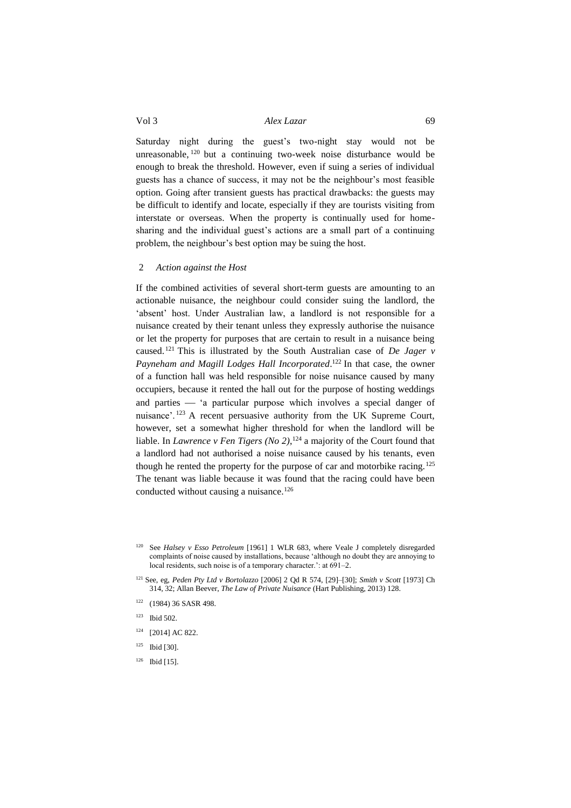Saturday night during the guest's two-night stay would not be unreasonable, <sup>120</sup> but a continuing two-week noise disturbance would be enough to break the threshold. However, even if suing a series of individual guests has a chance of success, it may not be the neighbour's most feasible option. Going after transient guests has practical drawbacks: the guests may be difficult to identify and locate, especially if they are tourists visiting from interstate or overseas. When the property is continually used for homesharing and the individual guest's actions are a small part of a continuing problem, the neighbour's best option may be suing the host.

# <span id="page-20-0"></span>2 *Action against the Host*

If the combined activities of several short-term guests are amounting to an actionable nuisance, the neighbour could consider suing the landlord, the 'absent' host. Under Australian law, a landlord is not responsible for a nuisance created by their tenant unless they expressly authorise the nuisance or let the property for purposes that are certain to result in a nuisance being caused. <sup>121</sup> This is illustrated by the South Australian case of *De Jager v*  Payneham and Magill Lodges Hall Incorporated.<sup>122</sup> In that case, the owner of a function hall was held responsible for noise nuisance caused by many occupiers, because it rented the hall out for the purpose of hosting weddings and parties — 'a particular purpose which involves a special danger of nuisance'. <sup>123</sup> A recent persuasive authority from the UK Supreme Court, however, set a somewhat higher threshold for when the landlord will be liable. In *Lawrence v Fen Tigers (No 2)*, <sup>124</sup> a majority of the Court found that a landlord had not authorised a noise nuisance caused by his tenants, even though he rented the property for the purpose of car and motorbike racing.<sup>125</sup> The tenant was liable because it was found that the racing could have been conducted without causing a nuisance.<sup>126</sup>

- <sup>124</sup> [2014] AC 822.
- <sup>125</sup> Ibid [30].
- $126$  Ibid [15].

See *Halsey v Esso Petroleum* [1961] 1 WLR 683, where Veale J completely disregarded complaints of noise caused by installations, because 'although no doubt they are annoying to local residents, such noise is of a temporary character.': at 691–2.

<sup>121</sup> See, eg, *Peden Pty Ltd v Bortolazzo* [2006] 2 Qd R 574, [29]–[30]; *Smith v Scott* [1973] Ch 314, 32; Allan Beever, *The Law of Private Nuisance* (Hart Publishing, 2013) 128.

<sup>122</sup> (1984) 36 SASR 498.

<sup>123</sup> Ibid 502.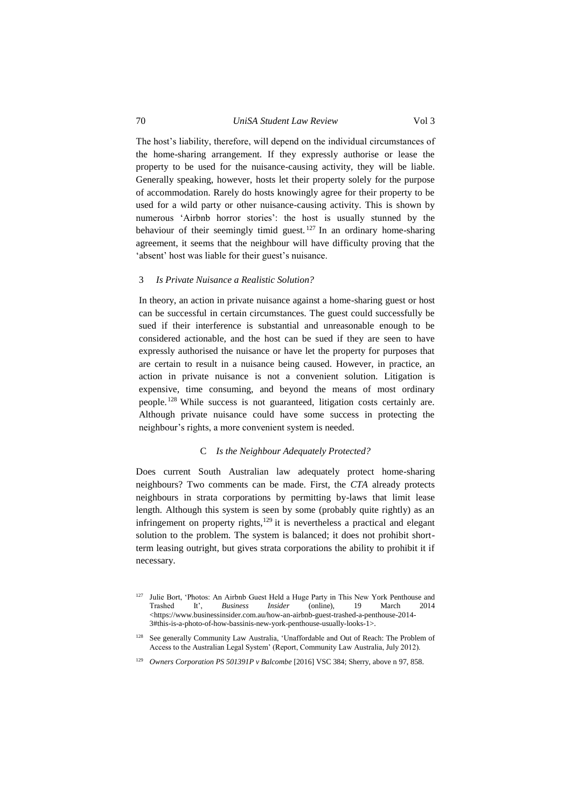The host's liability, therefore, will depend on the individual circumstances of the home-sharing arrangement. If they expressly authorise or lease the property to be used for the nuisance-causing activity, they will be liable. Generally speaking, however, hosts let their property solely for the purpose of accommodation. Rarely do hosts knowingly agree for their property to be used for a wild party or other nuisance-causing activity. This is shown by numerous 'Airbnb horror stories': the host is usually stunned by the behaviour of their seemingly timid guest. <sup>127</sup> In an ordinary home-sharing agreement, it seems that the neighbour will have difficulty proving that the 'absent' host was liable for their guest's nuisance.

#### <span id="page-21-0"></span>3 *Is Private Nuisance a Realistic Solution?*

In theory, an action in private nuisance against a home-sharing guest or host can be successful in certain circumstances. The guest could successfully be sued if their interference is substantial and unreasonable enough to be considered actionable, and the host can be sued if they are seen to have expressly authorised the nuisance or have let the property for purposes that are certain to result in a nuisance being caused. However, in practice, an action in private nuisance is not a convenient solution. Litigation is expensive, time consuming, and beyond the means of most ordinary people. <sup>128</sup> While success is not guaranteed, litigation costs certainly are. Although private nuisance could have some success in protecting the neighbour's rights, a more convenient system is needed.

#### C *Is the Neighbour Adequately Protected?*

<span id="page-21-1"></span>Does current South Australian law adequately protect home-sharing neighbours? Two comments can be made. First, the *CTA* already protects neighbours in strata corporations by permitting by-laws that limit lease length. Although this system is seen by some (probably quite rightly) as an infringement on property rights, $129$  it is nevertheless a practical and elegant solution to the problem. The system is balanced; it does not prohibit shortterm leasing outright, but gives strata corporations the ability to prohibit it if necessary.

<sup>&</sup>lt;sup>127</sup> Julie Bort, 'Photos: An Airbnb Guest Held a Huge Party in This New York Penthouse and Trashed It', *Business Insider* (online), 19 March 2014 Trashed It', *Business Insider* (online), 19 March 2014 <https://www.businessinsider.com.au/how-an-airbnb-guest-trashed-a-penthouse-2014- 3#this-is-a-photo-of-how-bassinis-new-york-penthouse-usually-looks-1>.

<sup>&</sup>lt;sup>128</sup> See generally Community Law Australia, 'Unaffordable and Out of Reach: The Problem of Access to the Australian Legal System' (Report, Community Law Australia, July 2012).

<sup>&</sup>lt;sup>129</sup> *Owners Corporation PS 501391P v Balcombe* [2016] VSC 384; Sherry, above [n 97,](#page-16-1) 858.